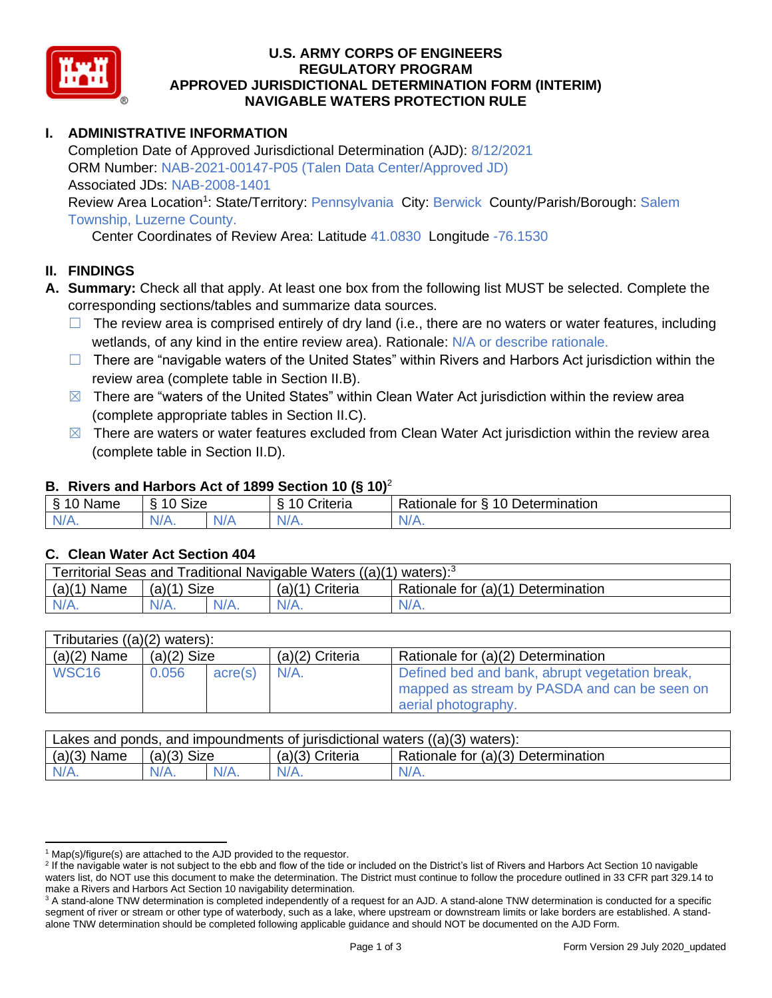

#### **U.S. ARMY CORPS OF ENGINEERS REGULATORY PROGRAM APPROVED JURISDICTIONAL DETERMINATION FORM (INTERIM) NAVIGABLE WATERS PROTECTION RULE**

# **I. ADMINISTRATIVE INFORMATION**

Completion Date of Approved Jurisdictional Determination (AJD): 8/12/2021 ORM Number: NAB-2021-00147-P05 (Talen Data Center/Approved JD) Associated JDs: NAB-2008-1401 Review Area Location<sup>1</sup>: State/Territory: Pennsylvania City: Berwick County/Parish/Borough: Salem Township, Luzerne County.

Center Coordinates of Review Area: Latitude 41.0830 Longitude -76.1530

## **II. FINDINGS**

- **A. Summary:** Check all that apply. At least one box from the following list MUST be selected. Complete the corresponding sections/tables and summarize data sources.
	- $\Box$  The review area is comprised entirely of dry land (i.e., there are no waters or water features, including wetlands, of any kind in the entire review area). Rationale: N/A or describe rationale.
	- □ There are "navigable waters of the United States" within Rivers and Harbors Act jurisdiction within the review area (complete table in Section II.B).
	- $\boxtimes$  There are "waters of the United States" within Clean Water Act jurisdiction within the review area (complete appropriate tables in Section II.C).
	- $\boxtimes$  There are waters or water features excluded from Clean Water Act jurisdiction within the review area (complete table in Section II.D).

#### **B. Rivers and Harbors Act of 1899 Section 10 (§ 10)**<sup>2</sup>

| Name                 | Size<br>$\sim$<br>∼ |                      | ∠rıterıa | 10 Determination<br>Rationale for<br>∼ |
|----------------------|---------------------|----------------------|----------|----------------------------------------|
| - 11<br>$\mathbf{v}$ | N/A.                | 'NL.<br>$\mathbf{u}$ | $N/A$ .  | AU.<br><b>MII.</b>                     |

## **C. Clean Water Act Section 404**

| Territorial Seas and Traditional Navigable Waters $((a)(1)$ waters): <sup>3</sup> |               |  |                   |                                    |  |  |
|-----------------------------------------------------------------------------------|---------------|--|-------------------|------------------------------------|--|--|
| (a)(1)<br>Name                                                                    | $(a)(1)$ Size |  | $(a)(1)$ Criteria | Rationale for (a)(1) Determination |  |  |
|                                                                                   | $N/A$ .       |  | $N/A$ .           | $N/A$ .                            |  |  |

| Tributaries $((a)(2)$ waters): |               |         |                   |                                                                                                                       |  |
|--------------------------------|---------------|---------|-------------------|-----------------------------------------------------------------------------------------------------------------------|--|
| $(a)(2)$ Name                  | $(a)(2)$ Size |         | $(a)(2)$ Criteria | Rationale for (a)(2) Determination                                                                                    |  |
| WSC <sub>16</sub>              | 0.056         | acre(s) | $N/A$ .           | Defined bed and bank, abrupt vegetation break,<br>mapped as stream by PASDA and can be seen on<br>aerial photography. |  |

| Lakes and ponds, and impoundments of jurisdictional waters $((a)(3)$ waters): |               |  |                   |                                    |  |  |
|-------------------------------------------------------------------------------|---------------|--|-------------------|------------------------------------|--|--|
| $(a)(3)$ Name                                                                 | $(a)(3)$ Size |  | $(a)(3)$ Criteria | Rationale for (a)(3) Determination |  |  |
| $N/A$ .                                                                       | $N/A$ .       |  | $N/A$ .           | $N/A$ .                            |  |  |

 $1$  Map(s)/figure(s) are attached to the AJD provided to the requestor.

<sup>&</sup>lt;sup>2</sup> If the navigable water is not subject to the ebb and flow of the tide or included on the District's list of Rivers and Harbors Act Section 10 navigable waters list, do NOT use this document to make the determination. The District must continue to follow the procedure outlined in 33 CFR part 329.14 to make a Rivers and Harbors Act Section 10 navigability determination.

<sup>&</sup>lt;sup>3</sup> A stand-alone TNW determination is completed independently of a request for an AJD. A stand-alone TNW determination is conducted for a specific segment of river or stream or other type of waterbody, such as a lake, where upstream or downstream limits or lake borders are established. A standalone TNW determination should be completed following applicable guidance and should NOT be documented on the AJD Form.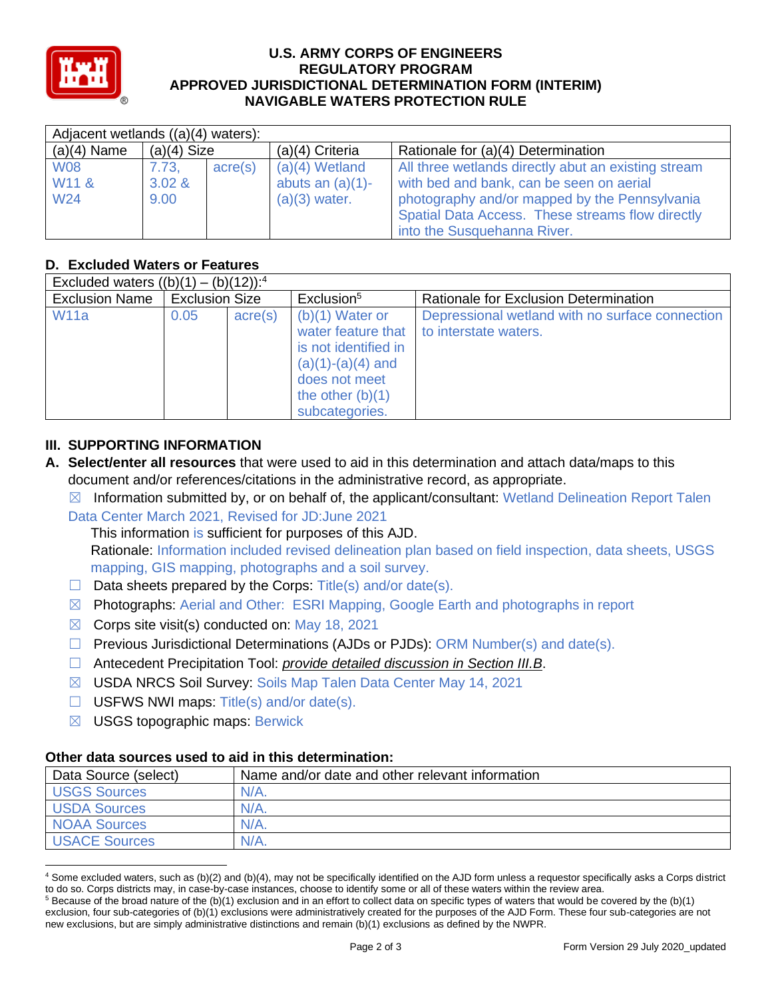

#### **U.S. ARMY CORPS OF ENGINEERS REGULATORY PROGRAM APPROVED JURISDICTIONAL DETERMINATION FORM (INTERIM) NAVIGABLE WATERS PROTECTION RULE**

| Adjacent wetlands ((a)(4) waters):                 |                         |                  |                                                            |                                                                                                                                                                                                                                     |  |
|----------------------------------------------------|-------------------------|------------------|------------------------------------------------------------|-------------------------------------------------------------------------------------------------------------------------------------------------------------------------------------------------------------------------------------|--|
| $(a)(4)$ Name                                      | $(a)(4)$ Size           |                  | $(a)(4)$ Criteria                                          | Rationale for (a)(4) Determination                                                                                                                                                                                                  |  |
| <b>W08</b><br>W <sub>11</sub> &<br>W <sub>24</sub> | 7.73.<br>3.02 &<br>9.00 | $\text{acre}(s)$ | $(a)(4)$ Wetland<br>abuts an $(a)(1)$ -<br>$(a)(3)$ water. | All three wetlands directly abut an existing stream<br>with bed and bank, can be seen on aerial<br>photography and/or mapped by the Pennsylvania<br>Spatial Data Access. These streams flow directly<br>into the Susquehanna River. |  |

# **D. Excluded Waters or Features**

| Excluded waters $((b)(1) - (b)(12))$ : <sup>4</sup> |                       |                  |                                                                                                                                                 |                                                                          |  |
|-----------------------------------------------------|-----------------------|------------------|-------------------------------------------------------------------------------------------------------------------------------------------------|--------------------------------------------------------------------------|--|
| <b>Exclusion Name</b>                               | <b>Exclusion Size</b> |                  | Exclusion <sup>5</sup>                                                                                                                          | Rationale for Exclusion Determination                                    |  |
| <b>W11a</b>                                         | 0.05                  | $\text{acre}(s)$ | $(b)(1)$ Water or<br>water feature that<br>is not identified in<br>$(a)(1)-(a)(4)$ and<br>does not meet<br>the other $(b)(1)$<br>subcategories. | Depressional wetland with no surface connection<br>to interstate waters. |  |

## **III. SUPPORTING INFORMATION**

**A. Select/enter all resources** that were used to aid in this determination and attach data/maps to this document and/or references/citations in the administrative record, as appropriate.

 $\boxtimes$  Information submitted by, or on behalf of, the applicant/consultant: Wetland Delineation Report Talen Data Center March 2021, Revised for JD:June 2021

This information is sufficient for purposes of this AJD.

Rationale: Information included revised delineation plan based on field inspection, data sheets, USGS mapping, GIS mapping, photographs and a soil survey.

- $\Box$  Data sheets prepared by the Corps: Title(s) and/or date(s).
- ☒ Photographs: Aerial and Other: ESRI Mapping, Google Earth and photographs in report
- $\boxtimes$  Corps site visit(s) conducted on: May 18, 2021
- ☐ Previous Jurisdictional Determinations (AJDs or PJDs): ORM Number(s) and date(s).
- ☐ Antecedent Precipitation Tool: *provide detailed discussion in Section III.B*.
- ☒ USDA NRCS Soil Survey: Soils Map Talen Data Center May 14, 2021
- $\Box$  USFWS NWI maps: Title(s) and/or date(s).
- $\boxtimes$  USGS topographic maps: Berwick

## **Other data sources used to aid in this determination:**

| Data Source (select) | Name and/or date and other relevant information |
|----------------------|-------------------------------------------------|
| <b>USGS Sources</b>  | $N/A$ .                                         |
| <b>USDA Sources</b>  | $N/A$ .                                         |
| <b>NOAA Sources</b>  | $N/A$ .                                         |
| <b>USACE Sources</b> | $N/A$ .                                         |

<sup>4</sup> Some excluded waters, such as (b)(2) and (b)(4), may not be specifically identified on the AJD form unless a requestor specifically asks a Corps district to do so. Corps districts may, in case-by-case instances, choose to identify some or all of these waters within the review area.

 $5$  Because of the broad nature of the (b)(1) exclusion and in an effort to collect data on specific types of waters that would be covered by the (b)(1) exclusion, four sub-categories of (b)(1) exclusions were administratively created for the purposes of the AJD Form. These four sub-categories are not new exclusions, but are simply administrative distinctions and remain (b)(1) exclusions as defined by the NWPR.